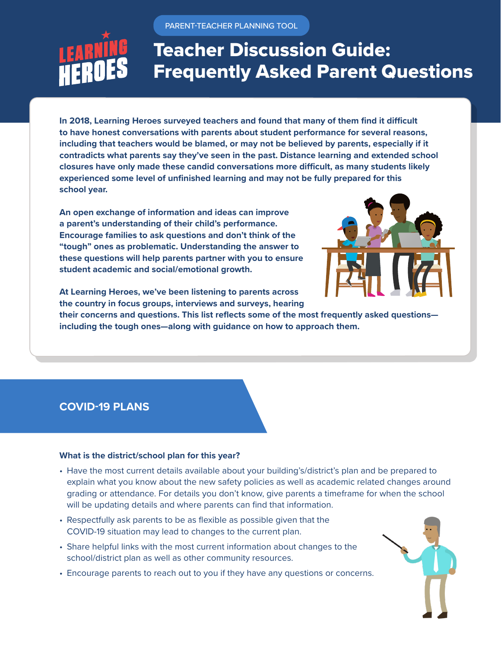PARENT-TEACHER PLANNING TOOL

# Teacher Discussion Guide: Frequently Asked Parent Questions

**In 2018, Learning Heroes surveyed teachers and found that many of them find it difficult to have honest conversations with parents about student performance for several reasons, including that teachers would be blamed, or may not be believed by parents, especially if it contradicts what parents say they've seen in the past. Distance learning and extended school closures have only made these candid conversations more difficult, as many students likely experienced some level of unfinished learning and may not be fully prepared for this school year.** 

**An open exchange of information and ideas can improve a parent's understanding of their child's performance. Encourage families to ask questions and don't think of the "tough" ones as problematic. Understanding the answer to these questions will help parents partner with you to ensure student academic and social/emotional growth.** 



**At Learning Heroes, we've been listening to parents across the country in focus groups, interviews and surveys, hearing** 

**their concerns and questions. This list reflects some of the most frequently asked questions including the tough ones—along with guidance on how to approach them.**

# **COVID-19 PLANS**

## **What is the district/school plan for this year?**

- Have the most current details available about your building's/district's plan and be prepared to explain what you know about the new safety policies as well as academic related changes around grading or attendance. For details you don't know, give parents a timeframe for when the school will be updating details and where parents can find that information.
- Respectfully ask parents to be as flexible as possible given that the COVID-19 situation may lead to changes to the current plan.
- Share helpful links with the most current information about changes to the school/district plan as well as other community resources.
- Encourage parents to reach out to you if they have any questions or concerns.

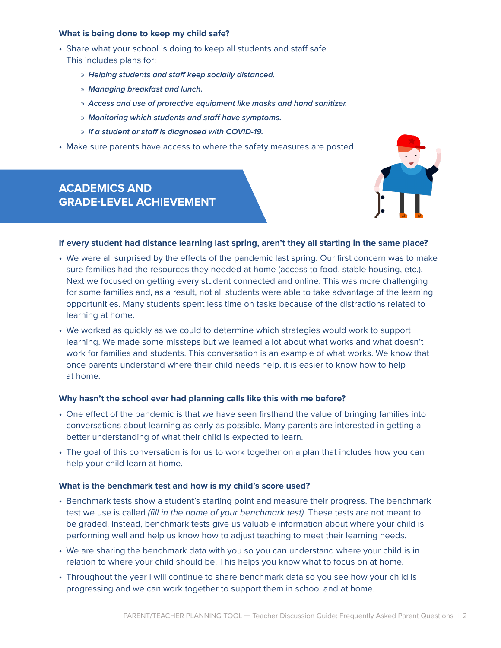#### **What is being done to keep my child safe?**

- Share what your school is doing to keep all students and staff safe. This includes plans for:
	- » *Helping students and staff keep socially distanced.*
	- » *Managing breakfast and lunch.*
	- » *Access and use of protective equipment like masks and hand sanitizer.*
	- » *Monitoring which students and staff have symptoms.*
	- » *If a student or staff is diagnosed with COVID-19.*
- Make sure parents have access to where the safety measures are posted.

# **ACADEMICS AND GRADE-LEVEL ACHIEVEMENT**



## **If every student had distance learning last spring, aren't they all starting in the same place?**

- We were all surprised by the effects of the pandemic last spring. Our first concern was to make sure families had the resources they needed at home (access to food, stable housing, etc.). Next we focused on getting every student connected and online. This was more challenging for some families and, as a result, not all students were able to take advantage of the learning opportunities. Many students spent less time on tasks because of the distractions related to learning at home.
- We worked as quickly as we could to determine which strategies would work to support learning. We made some missteps but we learned a lot about what works and what doesn't work for families and students. This conversation is an example of what works. We know that once parents understand where their child needs help, it is easier to know how to help at home.

#### **Why hasn't the school ever had planning calls like this with me before?**

- One effect of the pandemic is that we have seen firsthand the value of bringing families into conversations about learning as early as possible. Many parents are interested in getting a better understanding of what their child is expected to learn.
- The goal of this conversation is for us to work together on a plan that includes how you can help your child learn at home.

#### **What is the benchmark test and how is my child's score used?**

- Benchmark tests show a student's starting point and measure their progress. The benchmark test we use is called *(fill in the name of your benchmark test).* These tests are not meant to be graded. Instead, benchmark tests give us valuable information about where your child is performing well and help us know how to adjust teaching to meet their learning needs.
- We are sharing the benchmark data with you so you can understand where your child is in relation to where your child should be. This helps you know what to focus on at home.
- Throughout the year I will continue to share benchmark data so you see how your child is progressing and we can work together to support them in school and at home.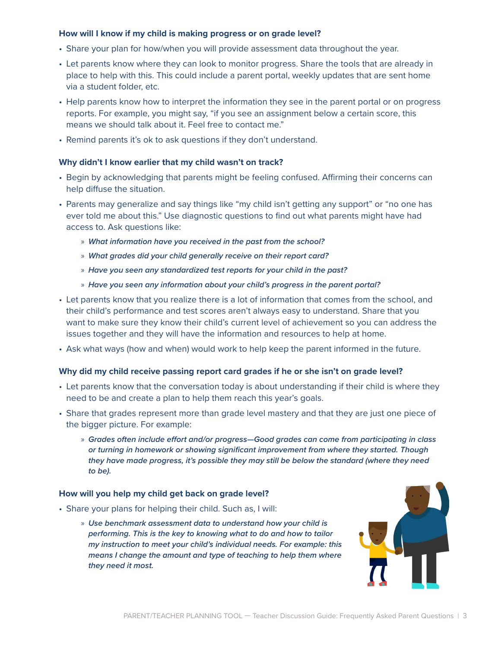## **How will I know if my child is making progress or on grade level?**

- Share your plan for how/when you will provide assessment data throughout the year.
- Let parents know where they can look to monitor progress. Share the tools that are already in place to help with this. This could include a parent portal, weekly updates that are sent home via a student folder, etc.
- Help parents know how to interpret the information they see in the parent portal or on progress reports. For example, you might say, "if you see an assignment below a certain score, this means we should talk about it. Feel free to contact me."
- Remind parents it's ok to ask questions if they don't understand.

## **Why didn't I know earlier that my child wasn't on track?**

- Begin by acknowledging that parents might be feeling confused. Affirming their concerns can help diffuse the situation.
- Parents may generalize and say things like "my child isn't getting any support" or "no one has ever told me about this." Use diagnostic questions to find out what parents might have had access to. Ask questions like:
	- » *What information have you received in the past from the school?*
	- » *What grades did your child generally receive on their report card?*
	- » *Have you seen any standardized test reports for your child in the past?*
	- » *Have you seen any information about your child's progress in the parent portal?*
- Let parents know that you realize there is a lot of information that comes from the school, and their child's performance and test scores aren't always easy to understand. Share that you want to make sure they know their child's current level of achievement so you can address the issues together and they will have the information and resources to help at home.
- Ask what ways (how and when) would work to help keep the parent informed in the future.

## **Why did my child receive passing report card grades if he or she isn't on grade level?**

- Let parents know that the conversation today is about understanding if their child is where they need to be and create a plan to help them reach this year's goals.
- Share that grades represent more than grade level mastery and that they are just one piece of the bigger picture. For example:
	- » *Grades often include effort and/or progress—Good grades can come from participating in class or turning in homework or showing significant improvement from where they started. Though they have made progress, it's possible they may still be below the standard (where they need to be).*

#### **How will you help my child get back on grade level?**

- Share your plans for helping their child. Such as, I will:
	- » *Use benchmark assessment data to understand how your child is performing. This is the key to knowing what to do and how to tailor my instruction to meet your child's individual needs. For example: this means I change the amount and type of teaching to help them where they need it most.*

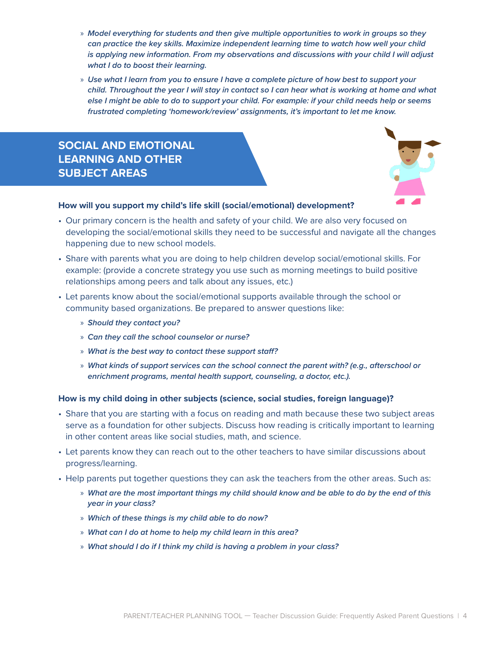- » *Model everything for students and then give multiple opportunities to work in groups so they can practice the key skills. Maximize independent learning time to watch how well your child is applying new information. From my observations and discussions with your child I will adjust what I do to boost their learning.*
- » *Use what I learn from you to ensure I have a complete picture of how best to support your child. Throughout the year I will stay in contact so I can hear what is working at home and what else I might be able to do to support your child. For example: if your child needs help or seems frustrated completing 'homework/review' assignments, it's important to let me know.*

# **SOCIAL AND EMOTIONAL LEARNING AND OTHER SUBJECT AREAS**



## **How will you support my child's life skill (social/emotional) development?**

- Our primary concern is the health and safety of your child. We are also very focused on developing the social/emotional skills they need to be successful and navigate all the changes happening due to new school models.
- Share with parents what you are doing to help children develop social/emotional skills. For example: (provide a concrete strategy you use such as morning meetings to build positive relationships among peers and talk about any issues, etc.)
- Let parents know about the social/emotional supports available through the school or community based organizations. Be prepared to answer questions like:
	- » *Should they contact you?*
	- » *Can they call the school counselor or nurse?*
	- » *What is the best way to contact these support staff?*
	- » *What kinds of support services can the school connect the parent with? (e.g., afterschool or enrichment programs, mental health support, counseling, a doctor, etc.).*

#### **How is my child doing in other subjects (science, social studies, foreign language)?**

- Share that you are starting with a focus on reading and math because these two subject areas serve as a foundation for other subjects. Discuss how reading is critically important to learning in other content areas like social studies, math, and science.
- Let parents know they can reach out to the other teachers to have similar discussions about progress/learning.
- Help parents put together questions they can ask the teachers from the other areas. Such as:
	- » *What are the most important things my child should know and be able to do by the end of this year in your class?*
	- » *Which of these things is my child able to do now?*
	- » *What can I do at home to help my child learn in this area?*
	- » *What should I do if I think my child is having a problem in your class?*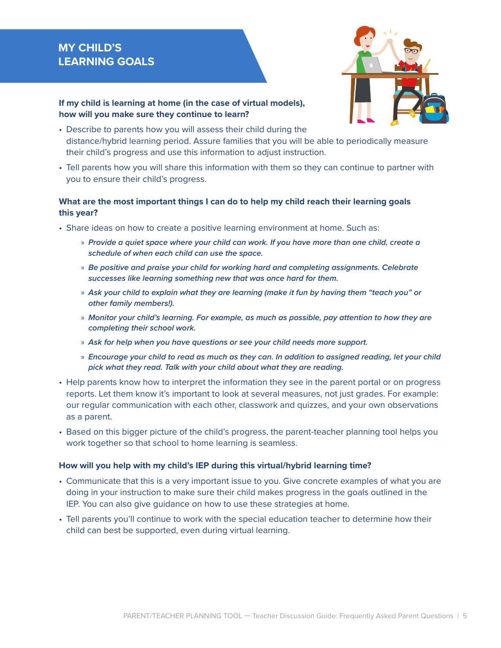# **MY CHILD'S LEARNING GOALS**



# **If my child is learning at home (in the case of virtual models), how will you make sure they continue to learn?**

- Describe to parents how you will assess their child during the distance/hybrid learning period. Assure families that you will be able to periodically measure their child's progress and use this information to adjust instruction.
- Tell parents how you will share this information with them so they can continue to partner with you to ensure their child's progress.

# **What are the most important things I can do to help my child reach their learning goals this year?**

- Share ideas on how to create a positive learning environment at home. Such as:
	- » *Provide a quiet space where your child can work. If you have more than one child, create a schedule of when each child can use the space.*
	- » *Be positive and praise your child for working hard and completing assignments. Celebrate successes like learning something new that was once hard for them.*
	- » *Ask your child to explain what they are learning (make it fun by having them "teach you" or other family members!).*
	- » *Monitor your child's learning. For example, as much as possible, pay attention to how they are completing their school work.*
	- » *Ask for help when you have questions or see your child needs more support.*
	- » *Encourage your child to read as much as they can. In addition to assigned reading, let your child pick what they read. Talk with your child about what they are reading.*
- Help parents know how to interpret the information they see in the parent portal or on progress reports. Let them know it's important to look at several measures, not just grades. For example: our regular communication with each other, classwork and quizzes, and your own observations as a parent.
- Based on this bigger picture of the child's progress, the parent-teacher planning tool helps you work together so that school to home learning is seamless.

#### **How will you help with my child's IEP during this virtual/hybrid learning time?**

- Communicate that this is a very important issue to you. Give concrete examples of what you are doing in your instruction to make sure their child makes progress in the goals outlined in the IEP. You can also give guidance on how to use these strategies at home.
- Tell parents you'll continue to work with the special education teacher to determine how their child can best be supported, even during virtual learning.